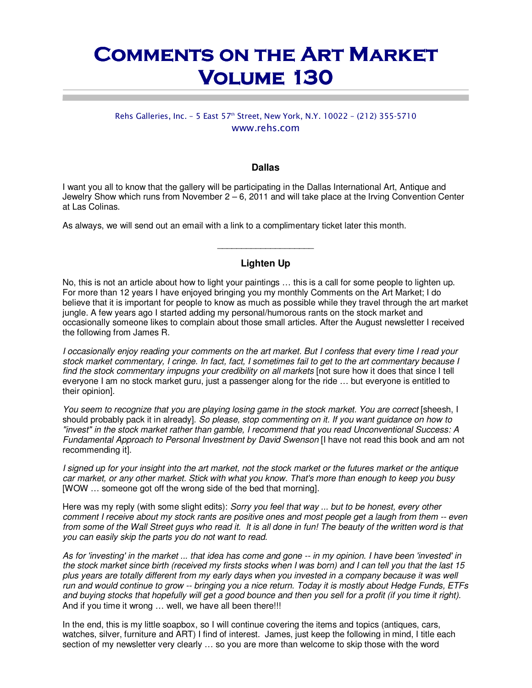# **COMMENTS ON THE ART MARKET Volume 130 Volume 130**

# Rehs Galleries, Inc. - 5 East 57<sup>th</sup> Street, New York, N.Y. 10022 - (212) 355-5710 www.rehs.com

#### **Dallas**

I want you all to know that the gallery will be participating in the Dallas International Art, Antique and Jewelry Show which runs from November 2 – 6, 2011 and will take place at the Irving Convention Center at Las Colinas.

As always, we will send out an email with a link to a complimentary ticket later this month.

## **Lighten Up**

 $\_$ 

No, this is not an article about how to light your paintings … this is a call for some people to lighten up. For more than 12 years I have enjoyed bringing you my monthly Comments on the Art Market; I do believe that it is important for people to know as much as possible while they travel through the art market jungle. A few years ago I started adding my personal/humorous rants on the stock market and occasionally someone likes to complain about those small articles. After the August newsletter I received the following from James R.

*I occasionally enjoy reading your comments on the art market. But I confess that every time I read your stock market commentary, I cringe. In fact, fact, I sometimes fail to get to the art commentary because I find the stock commentary impugns your credibility on all markets* [not sure how it does that since I tell everyone I am no stock market guru, just a passenger along for the ride … but everyone is entitled to their opinion].

*You seem to recognize that you are playing losing game in the stock market. You are correct* [sheesh, I should probably pack it in already]. *So please, stop commenting on it. If you want guidance on how to "invest" in the stock market rather than gamble, I recommend that you read Unconventional Success: A Fundamental Approach to Personal Investment by David Swenson* [I have not read this book and am not recommending it].

*I signed up for your insight into the art market, not the stock market or the futures market or the antique car market, or any other market. Stick with what you know. That's more than enough to keep you busy* [WOW … someone got off the wrong side of the bed that morning].

Here was my reply (with some slight edits): *Sorry you feel that way ... but to be honest, every other comment I receive about my stock rants are positive ones and most people get a laugh from them -- even from some of the Wall Street guys who read it. It is all done in fun! The beauty of the written word is that you can easily skip the parts you do not want to read.* 

*As for 'investing' in the market ... that idea has come and gone -- in my opinion. I have been 'invested' in the stock market since birth (received my firsts stocks when I was born) and I can tell you that the last 15 plus years are totally different from my early days when you invested in a company because it was well run and would continue to grow -- bringing you a nice return. Today it is mostly about Hedge Funds, ETFs and buying stocks that hopefully will get a good bounce and then you sell for a profit (if you time it right).* And if you time it wrong ... well, we have all been there!!!

In the end, this is my little soapbox, so I will continue covering the items and topics (antiques, cars, watches, silver, furniture and ART) I find of interest. James, just keep the following in mind, I title each section of my newsletter very clearly … so you are more than welcome to skip those with the word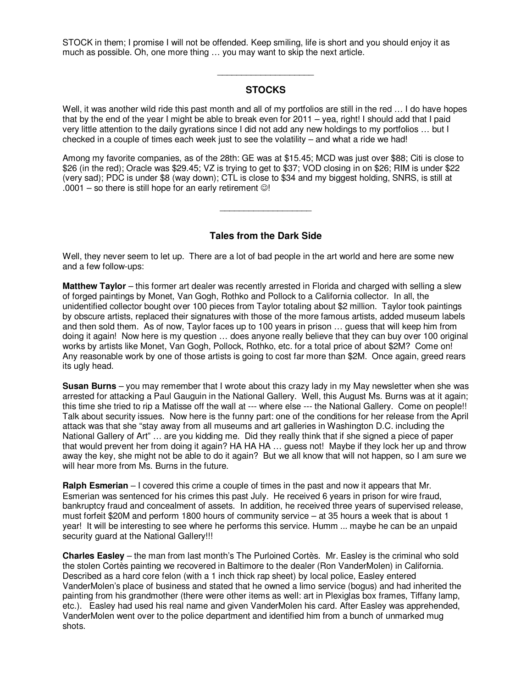STOCK in them; I promise I will not be offended. Keep smiling, life is short and you should enjoy it as much as possible. Oh, one more thing … you may want to skip the next article.

## **STOCKS**

 $\overline{\phantom{a}}$  , we can also the contract of  $\overline{\phantom{a}}$ 

Well, it was another wild ride this past month and all of my portfolios are still in the red ... I do have hopes that by the end of the year I might be able to break even for  $2011 - \text{year}$ , right! I should add that I paid very little attention to the daily gyrations since I did not add any new holdings to my portfolios … but I checked in a couple of times each week just to see the volatility – and what a ride we had!

Among my favorite companies, as of the 28th: GE was at \$15.45; MCD was just over \$88; Citi is close to \$26 (in the red); Oracle was \$29.45; VZ is trying to get to \$37; VOD closing in on \$26; RIM is under \$22 (very sad); PDC is under \$8 (way down); CTL is close to \$34 and my biggest holding, SNRS, is still at  $.0001$  – so there is still hope for an early retirement  $\odot$ !

 $\_$ 

## **Tales from the Dark Side**

Well, they never seem to let up. There are a lot of bad people in the art world and here are some new and a few follow-ups:

**Matthew Taylor** – this former art dealer was recently arrested in Florida and charged with selling a slew of forged paintings by Monet, Van Gogh, Rothko and Pollock to a California collector. In all, the unidentified collector bought over 100 pieces from Taylor totaling about \$2 million. Taylor took paintings by obscure artists, replaced their signatures with those of the more famous artists, added museum labels and then sold them. As of now, Taylor faces up to 100 years in prison … guess that will keep him from doing it again! Now here is my question … does anyone really believe that they can buy over 100 original works by artists like Monet, Van Gogh, Pollock, Rothko, etc. for a total price of about \$2M? Come on! Any reasonable work by one of those artists is going to cost far more than \$2M. Once again, greed rears its ugly head.

**Susan Burns** – you may remember that I wrote about this crazy lady in my May newsletter when she was arrested for attacking a Paul Gauguin in the National Gallery. Well, this August Ms. Burns was at it again; this time she tried to rip a Matisse off the wall at --- where else --- the National Gallery. Come on people!! Talk about security issues. Now here is the funny part: one of the conditions for her release from the April attack was that she "stay away from all museums and art galleries in Washington D.C. including the National Gallery of Art" … are you kidding me. Did they really think that if she signed a piece of paper that would prevent her from doing it again? HA HA HA ... guess not! Maybe if they lock her up and throw away the key, she might not be able to do it again? But we all know that will not happen, so I am sure we will hear more from Ms. Burns in the future.

**Ralph Esmerian** – I covered this crime a couple of times in the past and now it appears that Mr. Esmerian was sentenced for his crimes this past July. He received 6 years in prison for wire fraud, bankruptcy fraud and concealment of assets. In addition, he received three years of supervised release, must forfeit \$20M and perform 1800 hours of community service – at 35 hours a week that is about 1 year! It will be interesting to see where he performs this service. Humm ... maybe he can be an unpaid security quard at the National Gallery!!!

**Charles Easley** – the man from last month's The Purloined Cortès. Mr. Easley is the criminal who sold the stolen Cortès painting we recovered in Baltimore to the dealer (Ron VanderMolen) in California. Described as a hard core felon (with a 1 inch thick rap sheet) by local police, Easley entered VanderMolen's place of business and stated that he owned a limo service (bogus) and had inherited the painting from his grandmother (there were other items as well: art in Plexiglas box frames, Tiffany lamp, etc.). Easley had used his real name and given VanderMolen his card. After Easley was apprehended, VanderMolen went over to the police department and identified him from a bunch of unmarked mug shots.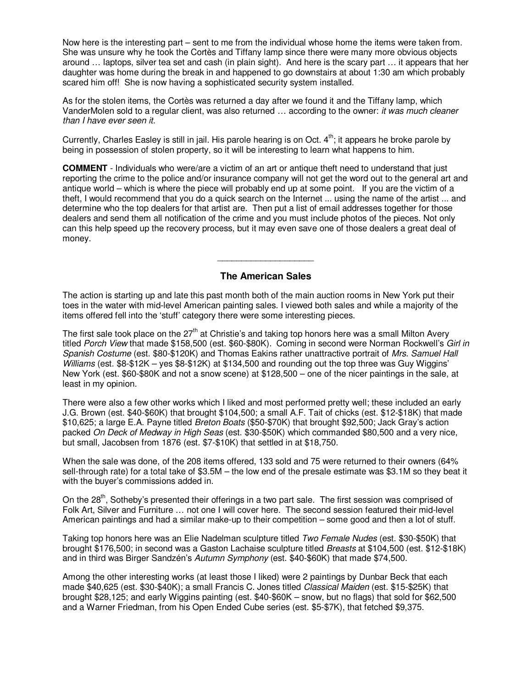Now here is the interesting part – sent to me from the individual whose home the items were taken from. She was unsure why he took the Cortès and Tiffany lamp since there were many more obvious objects around … laptops, silver tea set and cash (in plain sight). And here is the scary part … it appears that her daughter was home during the break in and happened to go downstairs at about 1:30 am which probably scared him off! She is now having a sophisticated security system installed.

As for the stolen items, the Cortès was returned a day after we found it and the Tiffany lamp, which VanderMolen sold to a regular client, was also returned … according to the owner: *it was much cleaner than I have ever seen it.*

Currently, Charles Easley is still in jail. His parole hearing is on Oct.  $4<sup>th</sup>$ ; it appears he broke parole by being in possession of stolen property, so it will be interesting to learn what happens to him.

**COMMENT** - Individuals who were/are a victim of an art or antique theft need to understand that just reporting the crime to the police and/or insurance company will not get the word out to the general art and antique world – which is where the piece will probably end up at some point. If you are the victim of a theft, I would recommend that you do a quick search on the Internet ... using the name of the artist ... and determine who the top dealers for that artist are. Then put a list of email addresses together for those dealers and send them all notification of the crime and you must include photos of the pieces. Not only can this help speed up the recovery process, but it may even save one of those dealers a great deal of money.

#### **The American Sales**

 $\overline{\phantom{a}}$  , we can also the contract of  $\overline{\phantom{a}}$ 

The action is starting up and late this past month both of the main auction rooms in New York put their toes in the water with mid-level American painting sales. I viewed both sales and while a majority of the items offered fell into the 'stuff' category there were some interesting pieces.

The first sale took place on the  $27<sup>th</sup>$  at Christie's and taking top honors here was a small Milton Avery titled *Porch View* that made \$158,500 (est. \$60-\$80K). Coming in second were Norman Rockwell's *Girl in Spanish Costume* (est. \$80-\$120K) and Thomas Eakins rather unattractive portrait of *Mrs. Samuel Hall Williams* (est. \$8-\$12K – yes \$8-\$12K) at \$134,500 and rounding out the top three was Guy Wiggins' New York (est. \$60-\$80K and not a snow scene) at \$128,500 – one of the nicer paintings in the sale, at least in my opinion.

There were also a few other works which I liked and most performed pretty well; these included an early J.G. Brown (est. \$40-\$60K) that brought \$104,500; a small A.F. Tait of chicks (est. \$12-\$18K) that made \$10,625; a large E.A. Payne titled *Breton Boats* (\$50-\$70K) that brought \$92,500; Jack Gray's action packed *On Deck of Medway in High Seas* (est. \$30-\$50K) which commanded \$80,500 and a very nice, but small, Jacobsen from 1876 (est. \$7-\$10K) that settled in at \$18,750.

When the sale was done, of the 208 items offered, 133 sold and 75 were returned to their owners (64% sell-through rate) for a total take of \$3.5M – the low end of the presale estimate was \$3.1M so they beat it with the buyer's commissions added in.

On the 28<sup>th</sup>, Sotheby's presented their offerings in a two part sale. The first session was comprised of Folk Art, Silver and Furniture … not one I will cover here. The second session featured their mid-level American paintings and had a similar make-up to their competition – some good and then a lot of stuff.

Taking top honors here was an Elie Nadelman sculpture titled *Two Female Nudes* (est. \$30-\$50K) that brought \$176,500; in second was a Gaston Lachaise sculpture titled *Breasts* at \$104,500 (est. \$12-\$18K) and in third was Birger Sandzén's *Autumn Symphony* (est. \$40-\$60K) that made \$74,500.

Among the other interesting works (at least those I liked) were 2 paintings by Dunbar Beck that each made \$40,625 (est. \$30-\$40K); a small Francis C. Jones titled *Classical Maiden* (est. \$15-\$25K) that brought \$28,125; and early Wiggins painting (est. \$40-\$60K – snow, but no flags) that sold for \$62,500 and a Warner Friedman, from his Open Ended Cube series (est. \$5-\$7K), that fetched \$9,375.